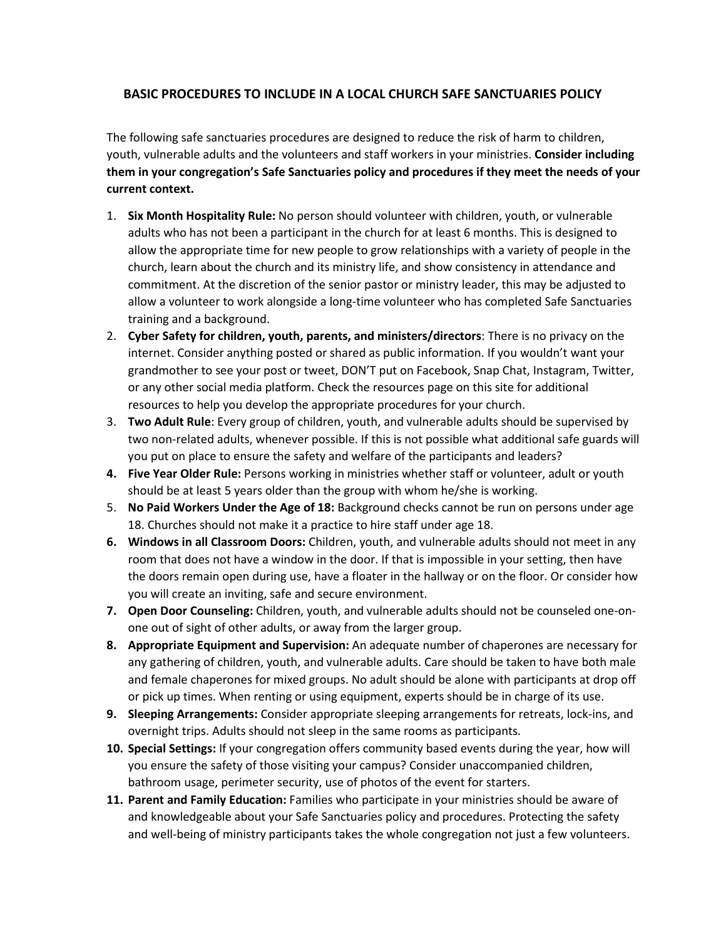## **BASIC PROCEDURES TO INCLUDE IN A LOCAL CHURCH SAFE SANCTUARIES POLICY**

The following safe sanctuaries procedures are designed to reduce the risk of harm to children, youth, vulnerable adults and the volunteers and staff workers in your ministries. **Consider including them in your congregation's Safe Sanctuaries policy and procedures if they meet the needs of your current context.**

- 1. **Six Month Hospitality Rule:** No person should volunteer with children, youth, or vulnerable adults who has not been a participant in the church for at least 6 months. This is designed to allow the appropriate time for new people to grow relationships with a variety of people in the church, learn about the church and its ministry life, and show consistency in attendance and commitment. At the discretion of the senior pastor or ministry leader, this may be adjusted to allow a volunteer to work alongside a long-time volunteer who has completed Safe Sanctuaries training and a background.
- 2. **Cyber Safety for children, youth, parents, and ministers/directors**: There is no privacy on the internet. Consider anything posted or shared as public information. If you wouldn't want your grandmother to see your post or tweet, DON'T put on Facebook, Snap Chat, Instagram, Twitter, or any other social media platform. Check the resources page on this site for additional resources to help you develop the appropriate procedures for your church.
- 3. **Two Adult Rule**: Every group of children, youth, and vulnerable adults should be supervised by two non-related adults, whenever possible. If this is not possible what additional safe guards will you put on place to ensure the safety and welfare of the participants and leaders?
- **4. Five Year Older Rule:** Persons working in ministries whether staff or volunteer, adult or youth should be at least 5 years older than the group with whom he/she is working.
- 5. **No Paid Workers Under the Age of 18:** Background checks cannot be run on persons under age 18. Churches should not make it a practice to hire staff under age 18.
- **6. Windows in all Classroom Doors:** Children, youth, and vulnerable adults should not meet in any room that does not have a window in the door. If that is impossible in your setting, then have the doors remain open during use, have a floater in the hallway or on the floor. Or consider how you will create an inviting, safe and secure environment.
- **7. Open Door Counseling:** Children, youth, and vulnerable adults should not be counseled one-onone out of sight of other adults, or away from the larger group.
- **8. Appropriate Equipment and Supervision:** An adequate number of chaperones are necessary for any gathering of children, youth, and vulnerable adults. Care should be taken to have both male and female chaperones for mixed groups. No adult should be alone with participants at drop off or pick up times. When renting or using equipment, experts should be in charge of its use.
- **9. Sleeping Arrangements:** Consider appropriate sleeping arrangements for retreats, lock-ins, and overnight trips. Adults should not sleep in the same rooms as participants.
- **10. Special Settings:** If your congregation offers community based events during the year, how will you ensure the safety of those visiting your campus? Consider unaccompanied children, bathroom usage, perimeter security, use of photos of the event for starters.
- **11. Parent and Family Education:** Families who participate in your ministries should be aware of and knowledgeable about your Safe Sanctuaries policy and procedures. Protecting the safety and well-being of ministry participants takes the whole congregation not just a few volunteers.